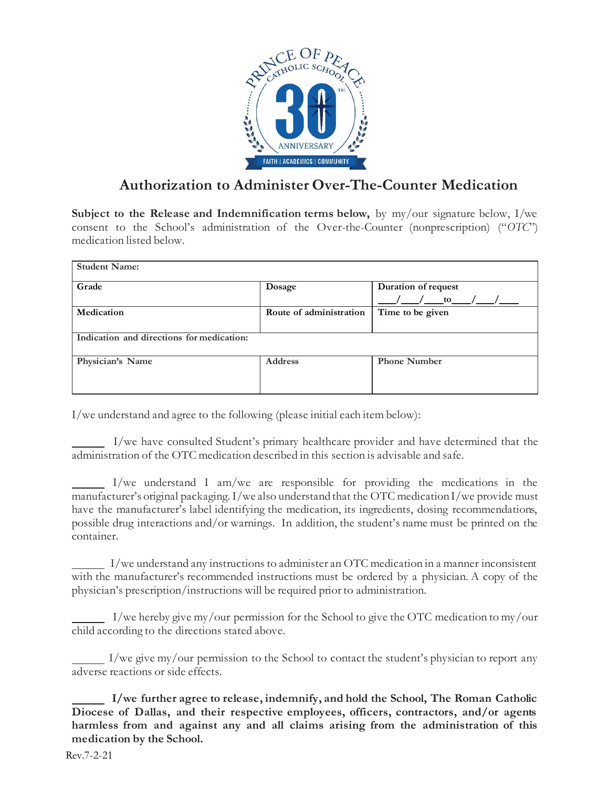

## **Authorization to Administer Over-The-Counter Medication**

**Subject to the Release and Indemnification terms below,** by my/our signature below, I/we consent to the School's administration of the Over-the-Counter (nonprescription) ("*OTC*") medication listed below.

| <b>Student Name:</b>                      |                         |                     |  |
|-------------------------------------------|-------------------------|---------------------|--|
| Grade                                     | Dosage                  | Duration of request |  |
|                                           |                         | to to               |  |
| Medication                                | Route of administration | Time to be given    |  |
|                                           |                         |                     |  |
| Indication and directions for medication: |                         |                     |  |
| Physician's Name                          | <b>Address</b>          | <b>Phone Number</b> |  |
|                                           |                         |                     |  |
|                                           |                         |                     |  |

I/we understand and agree to the following (please initial each item below):

 I/we have consulted Student's primary healthcare provider and have determined that the administration of the OTC medication described in this section is advisable and safe.

 I/we understand I am/we are responsible for providing the medications in the manufacturer's original packaging.I/we also understand that the OTC medicationI/we provide must have the manufacturer's label identifying the medication, its ingredients, dosing recommendations, possible drug interactions and/or warnings. In addition, the student's name must be printed on the container.

 I/we understand any instructions to administer an OTC medication in a manner inconsistent with the manufacturer's recommended instructions must be ordered by a physician. A copy of the physician's prescription/instructions will be required prior to administration.

 $\blacksquare$  I/we hereby give my/our permission for the School to give the OTC medication to my/our child according to the directions stated above.

 $\Box$  I/we give my/our permission to the School to contact the student's physician to report any adverse reactions or side effects.

 **I/we further agree to release, indemnify, and hold the School, The Roman Catholic Diocese of Dallas, and their respective employees, officers, contractors, and/or agents harmless from and against any and all claims arising from the administration of this medication by the School.**